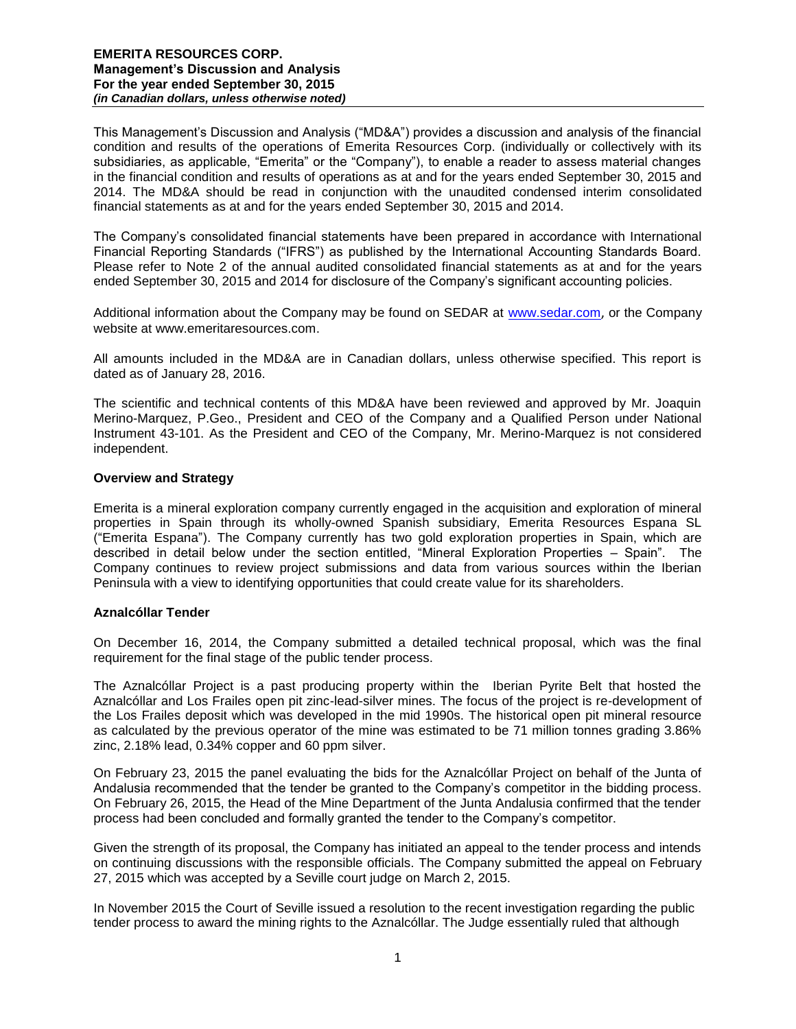This Management's Discussion and Analysis ("MD&A") provides a discussion and analysis of the financial condition and results of the operations of Emerita Resources Corp. (individually or collectively with its subsidiaries, as applicable, "Emerita" or the "Company"), to enable a reader to assess material changes in the financial condition and results of operations as at and for the years ended September 30, 2015 and 2014. The MD&A should be read in conjunction with the unaudited condensed interim consolidated financial statements as at and for the years ended September 30, 2015 and 2014.

The Company's consolidated financial statements have been prepared in accordance with International Financial Reporting Standards ("IFRS") as published by the International Accounting Standards Board. Please refer to Note 2 of the annual audited consolidated financial statements as at and for the years ended September 30, 2015 and 2014 for disclosure of the Company's significant accounting policies.

Additional information about the Company may be found on SEDAR at [www.sedar.com](http://www.sedar.com/), or the Company website at www.emeritaresources.com.

All amounts included in the MD&A are in Canadian dollars, unless otherwise specified. This report is dated as of January 28, 2016.

The scientific and technical contents of this MD&A have been reviewed and approved by Mr. Joaquin Merino-Marquez, P.Geo., President and CEO of the Company and a Qualified Person under National Instrument 43-101. As the President and CEO of the Company, Mr. Merino-Marquez is not considered independent.

## **Overview and Strategy**

Emerita is a mineral exploration company currently engaged in the acquisition and exploration of mineral properties in Spain through its wholly-owned Spanish subsidiary, Emerita Resources Espana SL ("Emerita Espana"). The Company currently has two gold exploration properties in Spain, which are described in detail below under the section entitled, "Mineral Exploration Properties – Spain". The Company continues to review project submissions and data from various sources within the Iberian Peninsula with a view to identifying opportunities that could create value for its shareholders.

# **Aznalcóllar Tender**

On December 16, 2014, the Company submitted a detailed technical proposal, which was the final requirement for the final stage of the public tender process.

The Aznalcóllar Project is a past producing property within the Iberian Pyrite Belt that hosted the Aznalcóllar and Los Frailes open pit zinc-lead-silver mines. The focus of the project is re-development of the Los Frailes deposit which was developed in the mid 1990s. The historical open pit mineral resource as calculated by the previous operator of the mine was estimated to be 71 million tonnes grading 3.86% zinc, 2.18% lead, 0.34% copper and 60 ppm silver.

On February 23, 2015 the panel evaluating the bids for the Aznalcóllar Project on behalf of the Junta of Andalusia recommended that the tender be granted to the Company's competitor in the bidding process. On February 26, 2015, the Head of the Mine Department of the Junta Andalusia confirmed that the tender process had been concluded and formally granted the tender to the Company's competitor.

Given the strength of its proposal, the Company has initiated an appeal to the tender process and intends on continuing discussions with the responsible officials. The Company submitted the appeal on February 27, 2015 which was accepted by a Seville court judge on March 2, 2015.

In November 2015 the Court of Seville issued a resolution to the recent investigation regarding the public tender process to award the mining rights to the Aznalcóllar. The Judge essentially ruled that although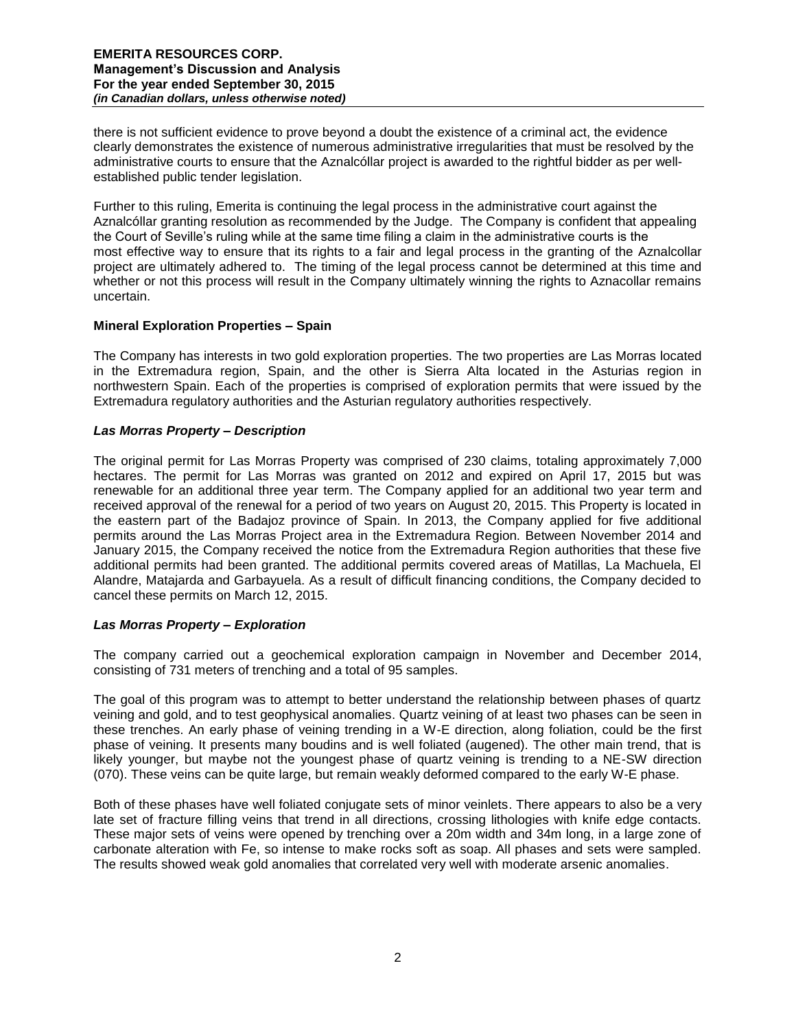there is not sufficient evidence to prove beyond a doubt the existence of a criminal act, the evidence clearly demonstrates the existence of numerous administrative irregularities that must be resolved by the administrative courts to ensure that the Aznalcóllar project is awarded to the rightful bidder as per wellestablished public tender legislation.

Further to this ruling, Emerita is continuing the legal process in the administrative court against the Aznalcóllar granting resolution as recommended by the Judge. The Company is confident that appealing the Court of Seville's ruling while at the same time filing a claim in the administrative courts is the most effective way to ensure that its rights to a fair and legal process in the granting of the Aznalcollar project are ultimately adhered to. The timing of the legal process cannot be determined at this time and whether or not this process will result in the Company ultimately winning the rights to Aznacollar remains uncertain.

# **Mineral Exploration Properties – Spain**

The Company has interests in two gold exploration properties. The two properties are Las Morras located in the Extremadura region, Spain, and the other is Sierra Alta located in the Asturias region in northwestern Spain. Each of the properties is comprised of exploration permits that were issued by the Extremadura regulatory authorities and the Asturian regulatory authorities respectively.

# *Las Morras Property – Description*

The original permit for Las Morras Property was comprised of 230 claims, totaling approximately 7,000 hectares. The permit for Las Morras was granted on 2012 and expired on April 17, 2015 but was renewable for an additional three year term. The Company applied for an additional two year term and received approval of the renewal for a period of two years on August 20, 2015. This Property is located in the eastern part of the Badajoz province of Spain. In 2013, the Company applied for five additional permits around the Las Morras Project area in the Extremadura Region. Between November 2014 and January 2015, the Company received the notice from the Extremadura Region authorities that these five additional permits had been granted. The additional permits covered areas of Matillas, La Machuela, El Alandre, Matajarda and Garbayuela. As a result of difficult financing conditions, the Company decided to cancel these permits on March 12, 2015.

# *Las Morras Property – Exploration*

The company carried out a geochemical exploration campaign in November and December 2014, consisting of 731 meters of trenching and a total of 95 samples.

The goal of this program was to attempt to better understand the relationship between phases of quartz veining and gold, and to test geophysical anomalies. Quartz veining of at least two phases can be seen in these trenches. An early phase of veining trending in a W-E direction, along foliation, could be the first phase of veining. It presents many boudins and is well foliated (augened). The other main trend, that is likely younger, but maybe not the youngest phase of quartz veining is trending to a NE-SW direction (070). These veins can be quite large, but remain weakly deformed compared to the early W-E phase.

Both of these phases have well foliated conjugate sets of minor veinlets. There appears to also be a very late set of fracture filling veins that trend in all directions, crossing lithologies with knife edge contacts. These major sets of veins were opened by trenching over a 20m width and 34m long, in a large zone of carbonate alteration with Fe, so intense to make rocks soft as soap. All phases and sets were sampled. The results showed weak gold anomalies that correlated very well with moderate arsenic anomalies.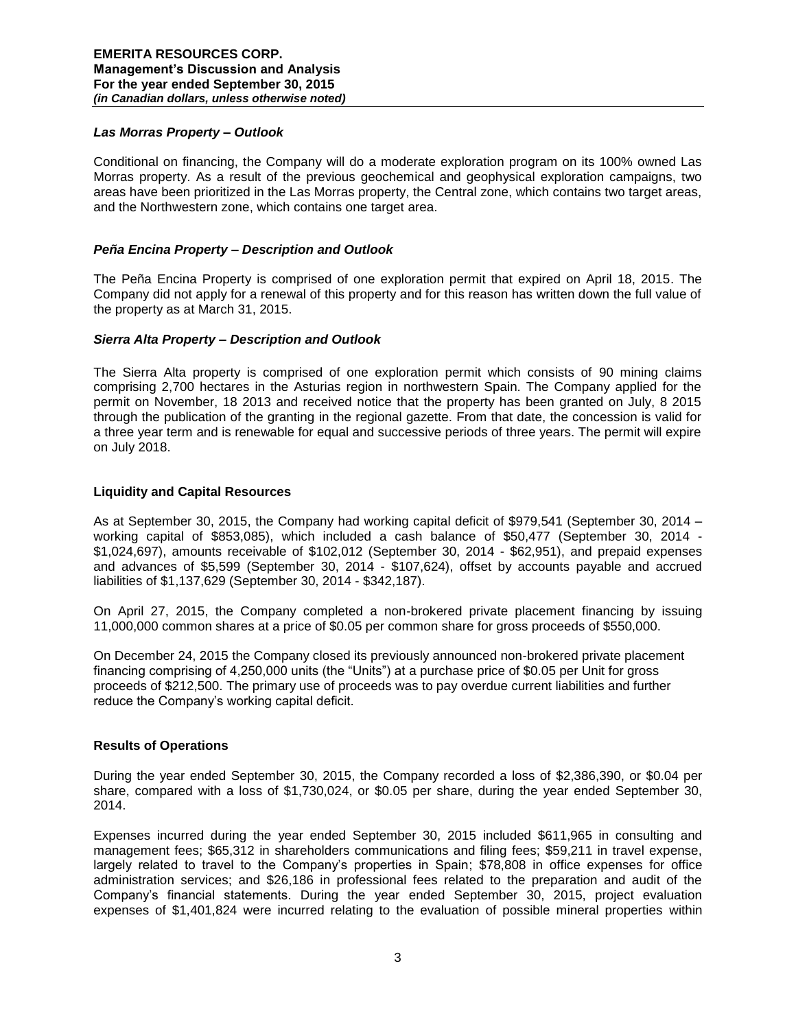# *Las Morras Property – Outlook*

Conditional on financing, the Company will do a moderate exploration program on its 100% owned Las Morras property. As a result of the previous geochemical and geophysical exploration campaigns, two areas have been prioritized in the Las Morras property, the Central zone, which contains two target areas, and the Northwestern zone, which contains one target area.

## *Peña Encina Property – Description and Outlook*

The Peña Encina Property is comprised of one exploration permit that expired on April 18, 2015. The Company did not apply for a renewal of this property and for this reason has written down the full value of the property as at March 31, 2015.

#### *Sierra Alta Property – Description and Outlook*

The Sierra Alta property is comprised of one exploration permit which consists of 90 mining claims comprising 2,700 hectares in the Asturias region in northwestern Spain. The Company applied for the permit on November, 18 2013 and received notice that the property has been granted on July, 8 2015 through the publication of the granting in the regional gazette. From that date, the concession is valid for a three year term and is renewable for equal and successive periods of three years. The permit will expire on July 2018.

#### **Liquidity and Capital Resources**

As at September 30, 2015, the Company had working capital deficit of \$979,541 (September 30, 2014 – working capital of \$853,085), which included a cash balance of \$50,477 (September 30, 2014 - \$1,024,697), amounts receivable of \$102,012 (September 30, 2014 - \$62,951), and prepaid expenses and advances of \$5,599 (September 30, 2014 - \$107,624), offset by accounts payable and accrued liabilities of \$1,137,629 (September 30, 2014 - \$342,187).

On April 27, 2015, the Company completed a non-brokered private placement financing by issuing 11,000,000 common shares at a price of \$0.05 per common share for gross proceeds of \$550,000.

On December 24, 2015 the Company closed its previously announced non-brokered private placement financing comprising of 4,250,000 units (the "Units") at a purchase price of \$0.05 per Unit for gross proceeds of \$212,500. The primary use of proceeds was to pay overdue current liabilities and further reduce the Company's working capital deficit.

#### **Results of Operations**

During the year ended September 30, 2015, the Company recorded a loss of \$2,386,390, or \$0.04 per share, compared with a loss of \$1,730,024, or \$0.05 per share, during the year ended September 30, 2014.

Expenses incurred during the year ended September 30, 2015 included \$611,965 in consulting and management fees; \$65,312 in shareholders communications and filing fees; \$59,211 in travel expense, largely related to travel to the Company's properties in Spain; \$78,808 in office expenses for office administration services; and \$26,186 in professional fees related to the preparation and audit of the Company's financial statements. During the year ended September 30, 2015, project evaluation expenses of \$1,401,824 were incurred relating to the evaluation of possible mineral properties within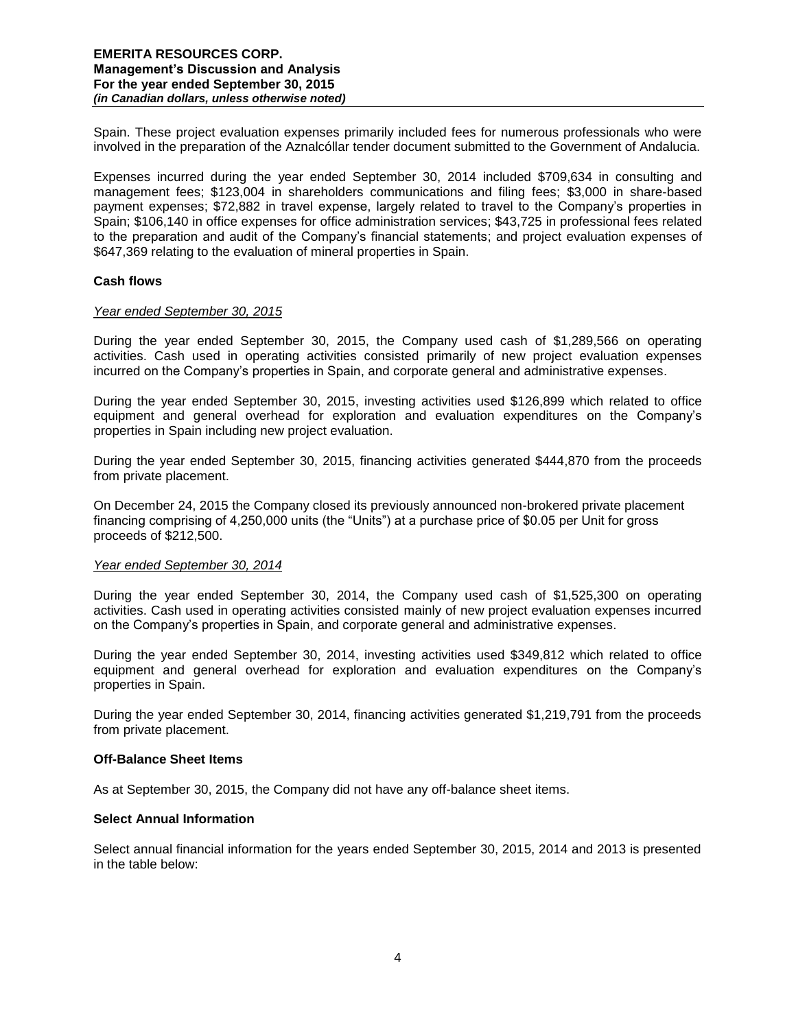Spain. These project evaluation expenses primarily included fees for numerous professionals who were involved in the preparation of the Aznalcóllar tender document submitted to the Government of Andalucia.

Expenses incurred during the year ended September 30, 2014 included \$709,634 in consulting and management fees; \$123,004 in shareholders communications and filing fees; \$3,000 in share-based payment expenses; \$72,882 in travel expense, largely related to travel to the Company's properties in Spain; \$106,140 in office expenses for office administration services; \$43,725 in professional fees related to the preparation and audit of the Company's financial statements; and project evaluation expenses of \$647,369 relating to the evaluation of mineral properties in Spain.

## **Cash flows**

## *Year ended September 30, 2015*

During the year ended September 30, 2015, the Company used cash of \$1,289,566 on operating activities. Cash used in operating activities consisted primarily of new project evaluation expenses incurred on the Company's properties in Spain, and corporate general and administrative expenses.

During the year ended September 30, 2015, investing activities used \$126,899 which related to office equipment and general overhead for exploration and evaluation expenditures on the Company's properties in Spain including new project evaluation.

During the year ended September 30, 2015, financing activities generated \$444,870 from the proceeds from private placement.

On December 24, 2015 the Company closed its previously announced non-brokered private placement financing comprising of 4,250,000 units (the "Units") at a purchase price of \$0.05 per Unit for gross proceeds of \$212,500.

#### *Year ended September 30, 2014*

During the year ended September 30, 2014, the Company used cash of \$1,525,300 on operating activities. Cash used in operating activities consisted mainly of new project evaluation expenses incurred on the Company's properties in Spain, and corporate general and administrative expenses.

During the year ended September 30, 2014, investing activities used \$349,812 which related to office equipment and general overhead for exploration and evaluation expenditures on the Company's properties in Spain.

During the year ended September 30, 2014, financing activities generated \$1,219,791 from the proceeds from private placement.

#### **Off-Balance Sheet Items**

As at September 30, 2015, the Company did not have any off-balance sheet items.

# **Select Annual Information**

Select annual financial information for the years ended September 30, 2015, 2014 and 2013 is presented in the table below: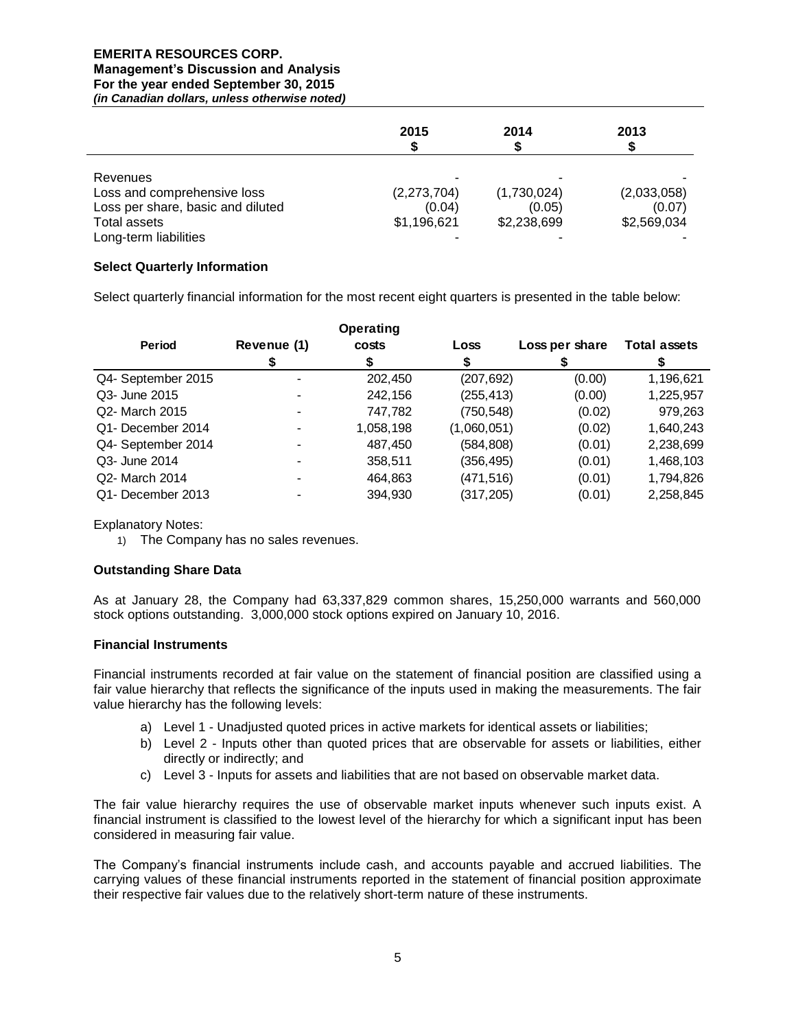# **EMERITA RESOURCES CORP.**

# **Management's Discussion and Analysis For the year ended September 30, 2015**

*(in Canadian dollars, unless otherwise noted)*

|                                   | 2015        | 2014        | 2013        |
|-----------------------------------|-------------|-------------|-------------|
| Revenues                          |             |             |             |
| Loss and comprehensive loss       | (2,273,704) | (1,730,024) | (2,033,058) |
| Loss per share, basic and diluted | (0.04)      | (0.05)      | (0.07)      |
| Total assets                      | \$1,196,621 | \$2,238,699 | \$2,569,034 |
| Long-term liabilities             |             |             |             |

## **Select Quarterly Information**

Select quarterly financial information for the most recent eight quarters is presented in the table below:

|                    |             | <b>Operating</b> |             |                |                     |
|--------------------|-------------|------------------|-------------|----------------|---------------------|
| Period             | Revenue (1) | costs            | Loss        | Loss per share | <b>Total assets</b> |
|                    |             | S                |             |                |                     |
| Q4- September 2015 | ۰           | 202,450          | (207, 692)  | (0.00)         | 1,196,621           |
| Q3- June 2015      |             | 242,156          | (255, 413)  | (0.00)         | 1,225,957           |
| Q2- March 2015     |             | 747,782          | (750, 548)  | (0.02)         | 979,263             |
| Q1- December 2014  |             | 1,058,198        | (1,060,051) | (0.02)         | 1,640,243           |
| Q4- September 2014 |             | 487,450          | (584, 808)  | (0.01)         | 2,238,699           |
| Q3- June 2014      |             | 358,511          | (356,495)   | (0.01)         | 1,468,103           |
| Q2- March 2014     | ۰           | 464,863          | (471,516)   | (0.01)         | 1,794,826           |
| Q1- December 2013  |             | 394.930          | (317,205)   | (0.01)         | 2,258,845           |

Explanatory Notes:

1) The Company has no sales revenues.

# **Outstanding Share Data**

As at January 28, the Company had 63,337,829 common shares, 15,250,000 warrants and 560,000 stock options outstanding. 3,000,000 stock options expired on January 10, 2016.

# **Financial Instruments**

Financial instruments recorded at fair value on the statement of financial position are classified using a fair value hierarchy that reflects the significance of the inputs used in making the measurements. The fair value hierarchy has the following levels:

- a) Level 1 Unadjusted quoted prices in active markets for identical assets or liabilities;
- b) Level 2 Inputs other than quoted prices that are observable for assets or liabilities, either directly or indirectly; and
- c) Level 3 Inputs for assets and liabilities that are not based on observable market data.

The fair value hierarchy requires the use of observable market inputs whenever such inputs exist. A financial instrument is classified to the lowest level of the hierarchy for which a significant input has been considered in measuring fair value.

The Company's financial instruments include cash, and accounts payable and accrued liabilities. The carrying values of these financial instruments reported in the statement of financial position approximate their respective fair values due to the relatively short-term nature of these instruments.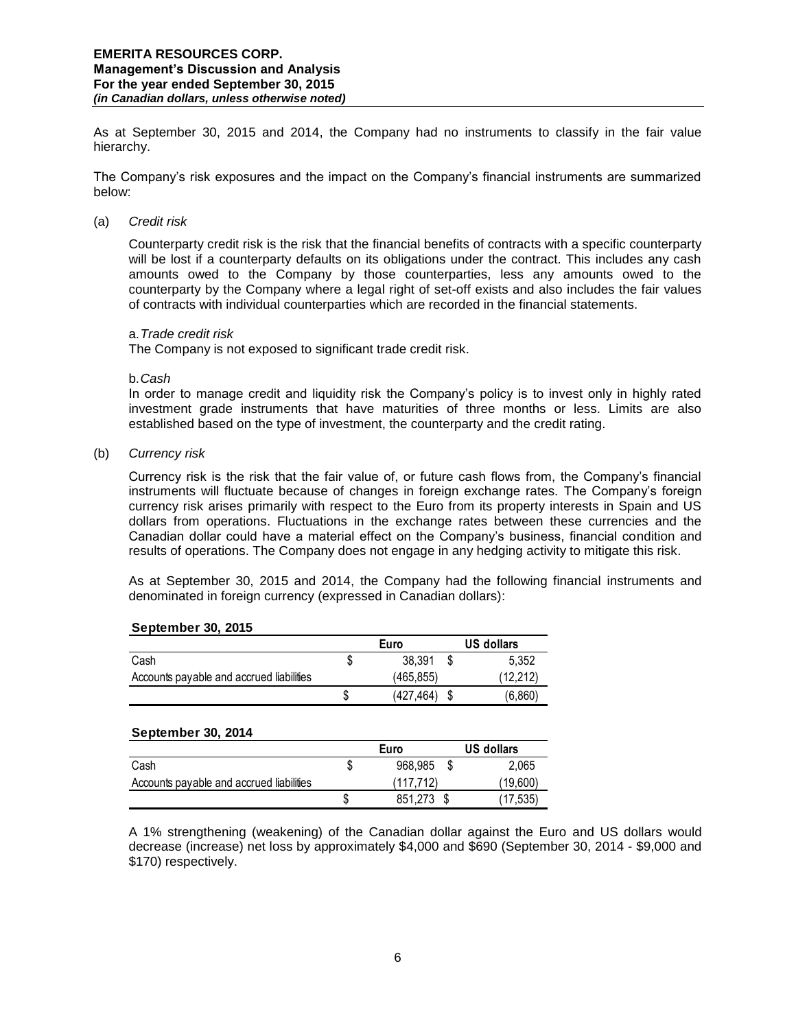As at September 30, 2015 and 2014, the Company had no instruments to classify in the fair value hierarchy.

The Company's risk exposures and the impact on the Company's financial instruments are summarized below:

## (a) *Credit risk*

Counterparty credit risk is the risk that the financial benefits of contracts with a specific counterparty will be lost if a counterparty defaults on its obligations under the contract. This includes any cash amounts owed to the Company by those counterparties, less any amounts owed to the counterparty by the Company where a legal right of set-off exists and also includes the fair values of contracts with individual counterparties which are recorded in the financial statements.

#### a.*Trade credit risk*

The Company is not exposed to significant trade credit risk.

#### b.*Cash*

In order to manage credit and liquidity risk the Company's policy is to invest only in highly rated investment grade instruments that have maturities of three months or less. Limits are also established based on the type of investment, the counterparty and the credit rating.

(b) *Currency risk* 

Currency risk is the risk that the fair value of, or future cash flows from, the Company's financial instruments will fluctuate because of changes in foreign exchange rates. The Company's foreign currency risk arises primarily with respect to the Euro from its property interests in Spain and US dollars from operations. Fluctuations in the exchange rates between these currencies and the Canadian dollar could have a material effect on the Company's business, financial condition and results of operations. The Company does not engage in any hedging activity to mitigate this risk.

As at September 30, 2015 and 2014, the Company had the following financial instruments and denominated in foreign currency (expressed in Canadian dollars):

#### **September 30, 2015**

|                                          |   | Euro            | US dollars |
|------------------------------------------|---|-----------------|------------|
| Cash                                     |   | 38.391          | 5.352      |
| Accounts payable and accrued liabilities |   | (465,855)       | (12,212)   |
|                                          | S | $(427, 464)$ \$ | (6,860)    |

#### **September 30, 2014**

|                                          |   | Euro      | US dollars |
|------------------------------------------|---|-----------|------------|
| Cash                                     |   | 968.985   | 2.065      |
| Accounts payable and accrued liabilities |   | (117.712) | (19,600)   |
|                                          | S | 851.273   | (17.535)   |

A 1% strengthening (weakening) of the Canadian dollar against the Euro and US dollars would decrease (increase) net loss by approximately \$4,000 and \$690 (September 30, 2014 - \$9,000 and \$170) respectively.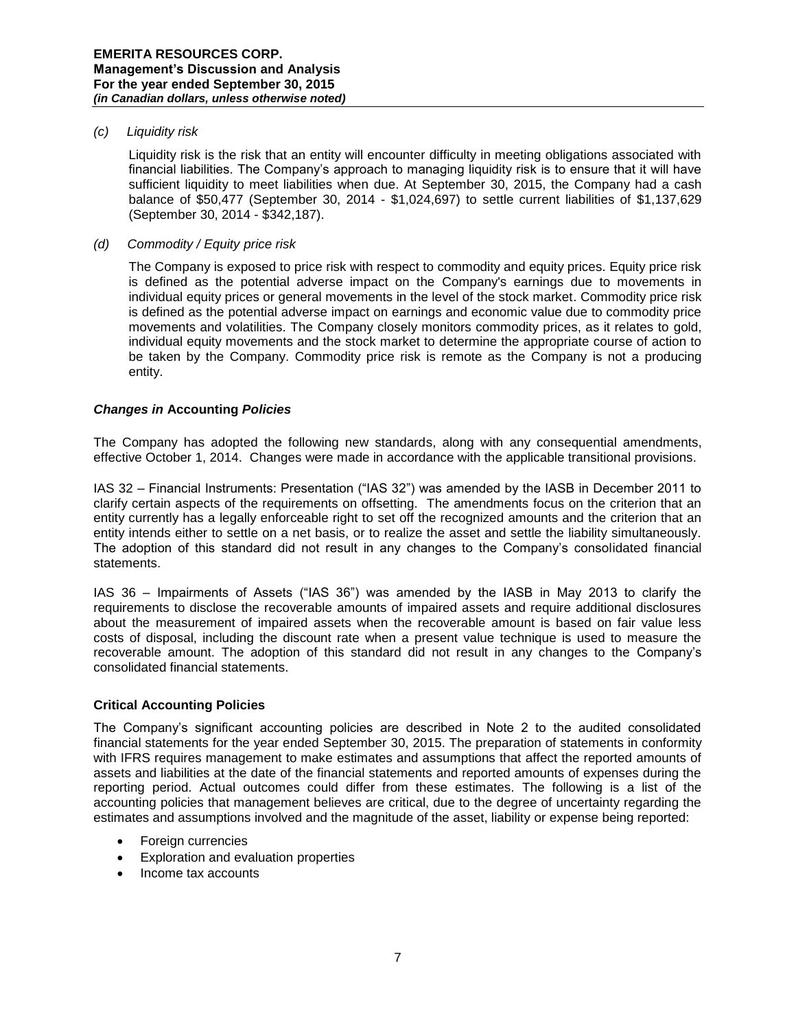# *(c) Liquidity risk*

Liquidity risk is the risk that an entity will encounter difficulty in meeting obligations associated with financial liabilities. The Company's approach to managing liquidity risk is to ensure that it will have sufficient liquidity to meet liabilities when due. At September 30, 2015, the Company had a cash balance of \$50,477 (September 30, 2014 - \$1,024,697) to settle current liabilities of \$1,137,629 (September 30, 2014 - \$342,187).

## *(d) Commodity / Equity price risk*

The Company is exposed to price risk with respect to commodity and equity prices. Equity price risk is defined as the potential adverse impact on the Company's earnings due to movements in individual equity prices or general movements in the level of the stock market. Commodity price risk is defined as the potential adverse impact on earnings and economic value due to commodity price movements and volatilities. The Company closely monitors commodity prices, as it relates to gold, individual equity movements and the stock market to determine the appropriate course of action to be taken by the Company. Commodity price risk is remote as the Company is not a producing entity.

## *Changes in* **Accounting** *Policies*

The Company has adopted the following new standards, along with any consequential amendments, effective October 1, 2014. Changes were made in accordance with the applicable transitional provisions.

IAS 32 – Financial Instruments: Presentation ("IAS 32") was amended by the IASB in December 2011 to clarify certain aspects of the requirements on offsetting. The amendments focus on the criterion that an entity currently has a legally enforceable right to set off the recognized amounts and the criterion that an entity intends either to settle on a net basis, or to realize the asset and settle the liability simultaneously. The adoption of this standard did not result in any changes to the Company's consolidated financial statements.

IAS 36 – Impairments of Assets ("IAS 36") was amended by the IASB in May 2013 to clarify the requirements to disclose the recoverable amounts of impaired assets and require additional disclosures about the measurement of impaired assets when the recoverable amount is based on fair value less costs of disposal, including the discount rate when a present value technique is used to measure the recoverable amount. The adoption of this standard did not result in any changes to the Company's consolidated financial statements.

# **Critical Accounting Policies**

The Company's significant accounting policies are described in Note 2 to the audited consolidated financial statements for the year ended September 30, 2015. The preparation of statements in conformity with IFRS requires management to make estimates and assumptions that affect the reported amounts of assets and liabilities at the date of the financial statements and reported amounts of expenses during the reporting period. Actual outcomes could differ from these estimates. The following is a list of the accounting policies that management believes are critical, due to the degree of uncertainty regarding the estimates and assumptions involved and the magnitude of the asset, liability or expense being reported:

- Foreign currencies
- Exploration and evaluation properties
- Income tax accounts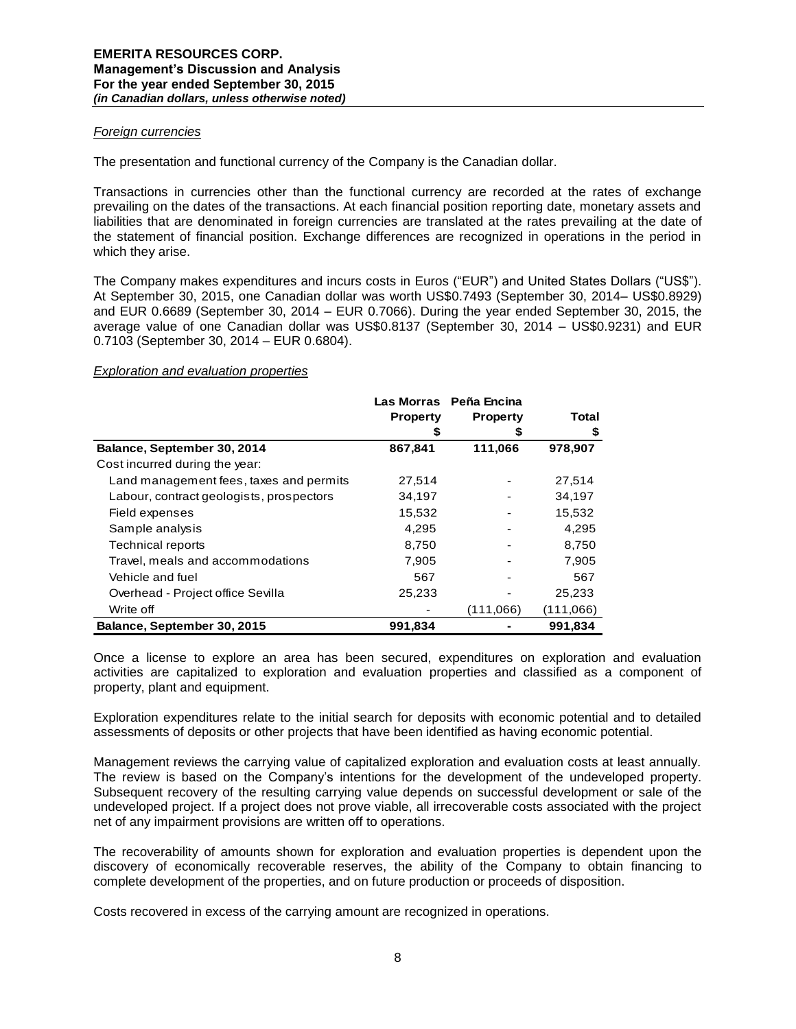## *Foreign currencies*

The presentation and functional currency of the Company is the Canadian dollar.

Transactions in currencies other than the functional currency are recorded at the rates of exchange prevailing on the dates of the transactions. At each financial position reporting date, monetary assets and liabilities that are denominated in foreign currencies are translated at the rates prevailing at the date of the statement of financial position. Exchange differences are recognized in operations in the period in which they arise.

The Company makes expenditures and incurs costs in Euros ("EUR") and United States Dollars ("US\$"). At September 30, 2015, one Canadian dollar was worth US\$0.7493 (September 30, 2014– US\$0.8929) and EUR 0.6689 (September 30, 2014 – EUR 0.7066). During the year ended September 30, 2015, the average value of one Canadian dollar was US\$0.8137 (September 30, 2014 – US\$0.9231) and EUR 0.7103 (September 30, 2014 – EUR 0.6804).

## *Exploration and evaluation properties*

|                                          |                 | Las Morras Peña Encina |           |
|------------------------------------------|-----------------|------------------------|-----------|
|                                          | <b>Property</b> | <b>Property</b>        | Total     |
|                                          |                 |                        | \$        |
| Balance, September 30, 2014              | 867,841         | 111,066                | 978,907   |
| Cost incurred during the year:           |                 |                        |           |
| Land management fees, taxes and permits  | 27,514          |                        | 27,514    |
| Labour, contract geologists, prospectors | 34,197          |                        | 34,197    |
| Field expenses                           | 15,532          |                        | 15,532    |
| Sample analysis                          | 4,295           |                        | 4,295     |
| <b>Technical reports</b>                 | 8.750           |                        | 8.750     |
| Travel, meals and accommodations         | 7,905           |                        | 7,905     |
| Vehicle and fuel                         | 567             |                        | 567       |
| Overhead - Project office Sevilla        | 25,233          |                        | 25,233    |
| Write off                                |                 | (111,066)              | (111,066) |
| Balance, September 30, 2015              | 991,834         |                        | 991,834   |

Once a license to explore an area has been secured, expenditures on exploration and evaluation activities are capitalized to exploration and evaluation properties and classified as a component of property, plant and equipment.

Exploration expenditures relate to the initial search for deposits with economic potential and to detailed assessments of deposits or other projects that have been identified as having economic potential.

Management reviews the carrying value of capitalized exploration and evaluation costs at least annually. The review is based on the Company's intentions for the development of the undeveloped property. Subsequent recovery of the resulting carrying value depends on successful development or sale of the undeveloped project. If a project does not prove viable, all irrecoverable costs associated with the project net of any impairment provisions are written off to operations.

The recoverability of amounts shown for exploration and evaluation properties is dependent upon the discovery of economically recoverable reserves, the ability of the Company to obtain financing to complete development of the properties, and on future production or proceeds of disposition.

Costs recovered in excess of the carrying amount are recognized in operations.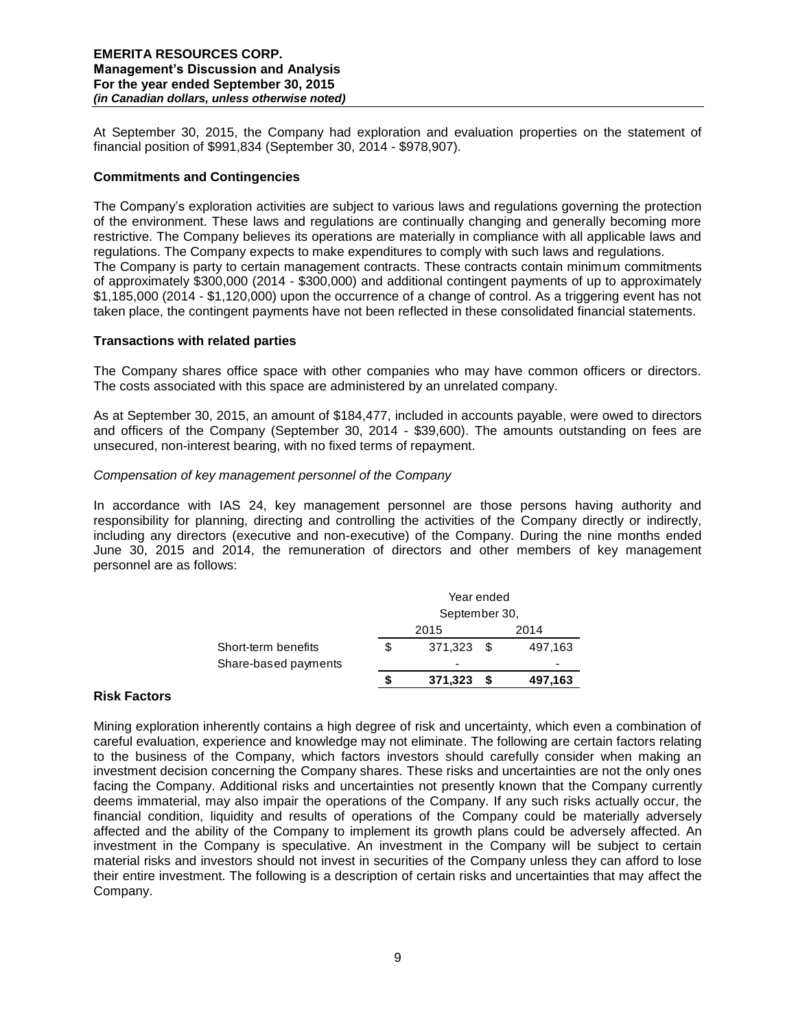At September 30, 2015, the Company had exploration and evaluation properties on the statement of financial position of \$991,834 (September 30, 2014 - \$978,907).

# **Commitments and Contingencies**

The Company's exploration activities are subject to various laws and regulations governing the protection of the environment. These laws and regulations are continually changing and generally becoming more restrictive. The Company believes its operations are materially in compliance with all applicable laws and regulations. The Company expects to make expenditures to comply with such laws and regulations. The Company is party to certain management contracts. These contracts contain minimum commitments of approximately \$300,000 (2014 - \$300,000) and additional contingent payments of up to approximately \$1,185,000 (2014 - \$1,120,000) upon the occurrence of a change of control. As a triggering event has not taken place, the contingent payments have not been reflected in these consolidated financial statements.

## **Transactions with related parties**

The Company shares office space with other companies who may have common officers or directors. The costs associated with this space are administered by an unrelated company.

As at September 30, 2015, an amount of \$184,477, included in accounts payable, were owed to directors and officers of the Company (September 30, 2014 - \$39,600). The amounts outstanding on fees are unsecured, non-interest bearing, with no fixed terms of repayment.

## *Compensation of key management personnel of the Company*

In accordance with IAS 24, key management personnel are those persons having authority and responsibility for planning, directing and controlling the activities of the Company directly or indirectly, including any directors (executive and non-executive) of the Company. During the nine months ended June 30, 2015 and 2014, the remuneration of directors and other members of key management personnel are as follows:

|                      | Year ended    |      |         |  |
|----------------------|---------------|------|---------|--|
|                      | September 30, |      |         |  |
|                      | 2015          |      | 2014    |  |
| Short-term benefits  | \$<br>371,323 | - \$ | 497,163 |  |
| Share-based payments | -             |      | -       |  |
|                      | 371,323       |      | 497,163 |  |

# **Risk Factors**

Mining exploration inherently contains a high degree of risk and uncertainty, which even a combination of careful evaluation, experience and knowledge may not eliminate. The following are certain factors relating to the business of the Company, which factors investors should carefully consider when making an investment decision concerning the Company shares. These risks and uncertainties are not the only ones facing the Company. Additional risks and uncertainties not presently known that the Company currently deems immaterial, may also impair the operations of the Company. If any such risks actually occur, the financial condition, liquidity and results of operations of the Company could be materially adversely affected and the ability of the Company to implement its growth plans could be adversely affected. An investment in the Company is speculative. An investment in the Company will be subject to certain material risks and investors should not invest in securities of the Company unless they can afford to lose their entire investment. The following is a description of certain risks and uncertainties that may affect the Company.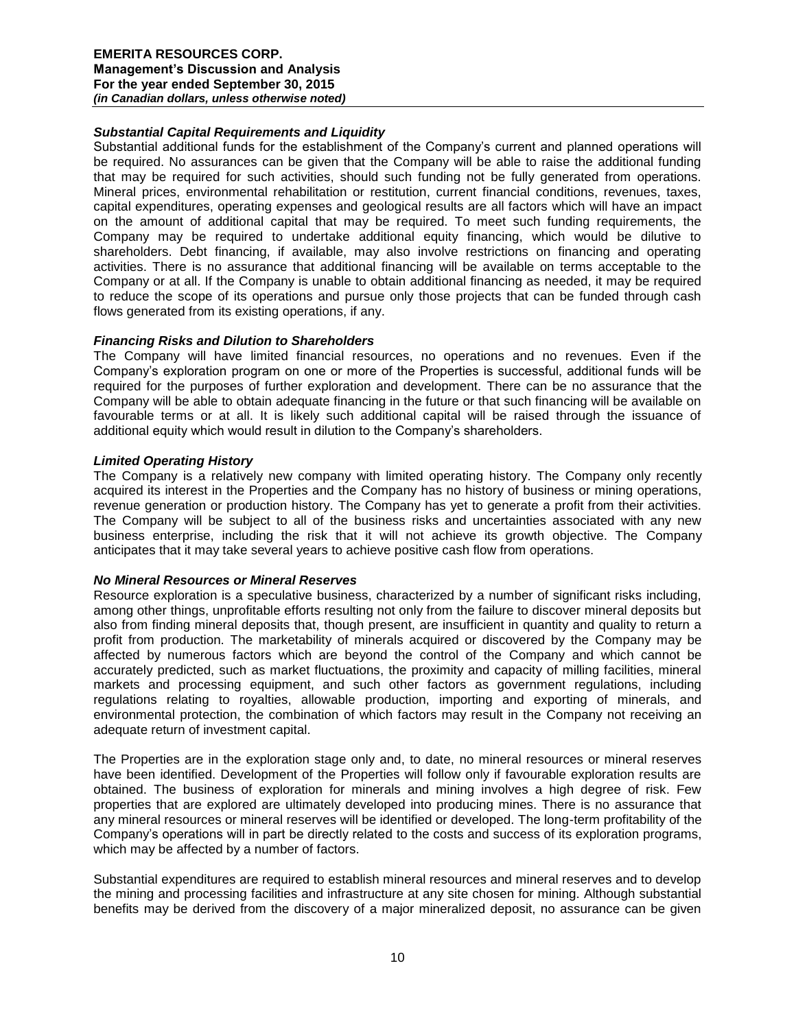# *Substantial Capital Requirements and Liquidity*

Substantial additional funds for the establishment of the Company's current and planned operations will be required. No assurances can be given that the Company will be able to raise the additional funding that may be required for such activities, should such funding not be fully generated from operations. Mineral prices, environmental rehabilitation or restitution, current financial conditions, revenues, taxes, capital expenditures, operating expenses and geological results are all factors which will have an impact on the amount of additional capital that may be required. To meet such funding requirements, the Company may be required to undertake additional equity financing, which would be dilutive to shareholders. Debt financing, if available, may also involve restrictions on financing and operating activities. There is no assurance that additional financing will be available on terms acceptable to the Company or at all. If the Company is unable to obtain additional financing as needed, it may be required to reduce the scope of its operations and pursue only those projects that can be funded through cash flows generated from its existing operations, if any.

## *Financing Risks and Dilution to Shareholders*

The Company will have limited financial resources, no operations and no revenues. Even if the Company's exploration program on one or more of the Properties is successful, additional funds will be required for the purposes of further exploration and development. There can be no assurance that the Company will be able to obtain adequate financing in the future or that such financing will be available on favourable terms or at all. It is likely such additional capital will be raised through the issuance of additional equity which would result in dilution to the Company's shareholders.

## *Limited Operating History*

The Company is a relatively new company with limited operating history. The Company only recently acquired its interest in the Properties and the Company has no history of business or mining operations, revenue generation or production history. The Company has yet to generate a profit from their activities. The Company will be subject to all of the business risks and uncertainties associated with any new business enterprise, including the risk that it will not achieve its growth objective. The Company anticipates that it may take several years to achieve positive cash flow from operations.

#### *No Mineral Resources or Mineral Reserves*

Resource exploration is a speculative business, characterized by a number of significant risks including, among other things, unprofitable efforts resulting not only from the failure to discover mineral deposits but also from finding mineral deposits that, though present, are insufficient in quantity and quality to return a profit from production. The marketability of minerals acquired or discovered by the Company may be affected by numerous factors which are beyond the control of the Company and which cannot be accurately predicted, such as market fluctuations, the proximity and capacity of milling facilities, mineral markets and processing equipment, and such other factors as government regulations, including regulations relating to royalties, allowable production, importing and exporting of minerals, and environmental protection, the combination of which factors may result in the Company not receiving an adequate return of investment capital.

The Properties are in the exploration stage only and, to date, no mineral resources or mineral reserves have been identified. Development of the Properties will follow only if favourable exploration results are obtained. The business of exploration for minerals and mining involves a high degree of risk. Few properties that are explored are ultimately developed into producing mines. There is no assurance that any mineral resources or mineral reserves will be identified or developed. The long-term profitability of the Company's operations will in part be directly related to the costs and success of its exploration programs, which may be affected by a number of factors.

Substantial expenditures are required to establish mineral resources and mineral reserves and to develop the mining and processing facilities and infrastructure at any site chosen for mining. Although substantial benefits may be derived from the discovery of a major mineralized deposit, no assurance can be given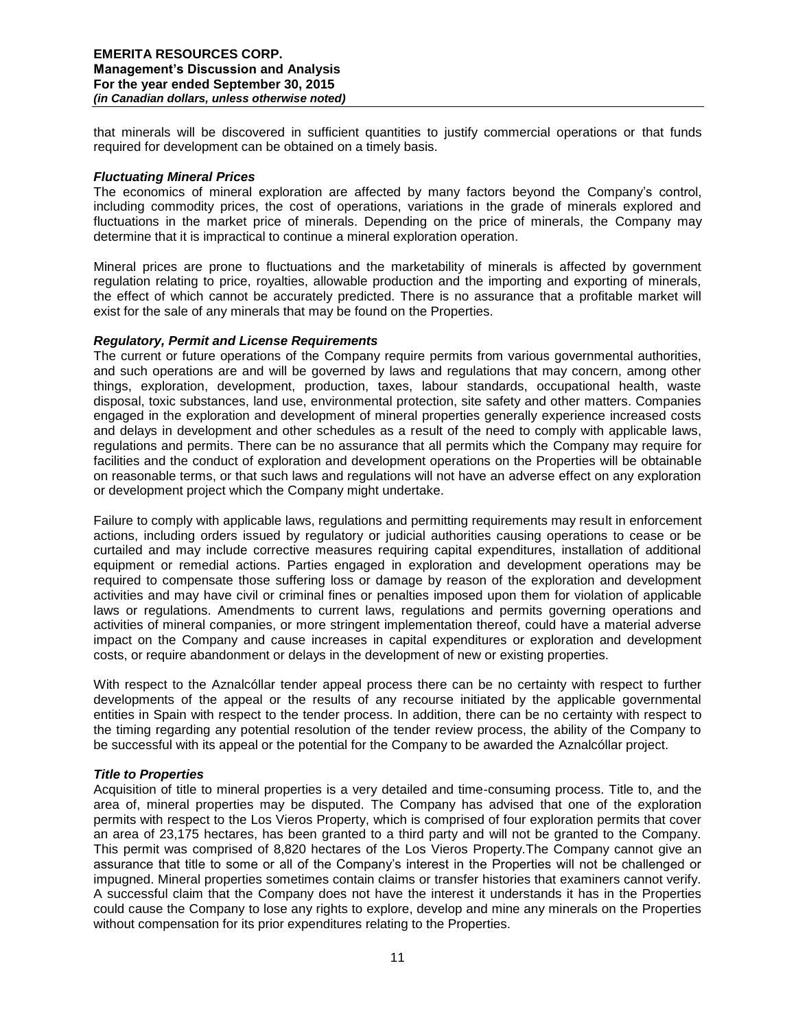that minerals will be discovered in sufficient quantities to justify commercial operations or that funds required for development can be obtained on a timely basis.

## *Fluctuating Mineral Prices*

The economics of mineral exploration are affected by many factors beyond the Company's control, including commodity prices, the cost of operations, variations in the grade of minerals explored and fluctuations in the market price of minerals. Depending on the price of minerals, the Company may determine that it is impractical to continue a mineral exploration operation.

Mineral prices are prone to fluctuations and the marketability of minerals is affected by government regulation relating to price, royalties, allowable production and the importing and exporting of minerals, the effect of which cannot be accurately predicted. There is no assurance that a profitable market will exist for the sale of any minerals that may be found on the Properties.

## *Regulatory, Permit and License Requirements*

The current or future operations of the Company require permits from various governmental authorities, and such operations are and will be governed by laws and regulations that may concern, among other things, exploration, development, production, taxes, labour standards, occupational health, waste disposal, toxic substances, land use, environmental protection, site safety and other matters. Companies engaged in the exploration and development of mineral properties generally experience increased costs and delays in development and other schedules as a result of the need to comply with applicable laws, regulations and permits. There can be no assurance that all permits which the Company may require for facilities and the conduct of exploration and development operations on the Properties will be obtainable on reasonable terms, or that such laws and regulations will not have an adverse effect on any exploration or development project which the Company might undertake.

Failure to comply with applicable laws, regulations and permitting requirements may result in enforcement actions, including orders issued by regulatory or judicial authorities causing operations to cease or be curtailed and may include corrective measures requiring capital expenditures, installation of additional equipment or remedial actions. Parties engaged in exploration and development operations may be required to compensate those suffering loss or damage by reason of the exploration and development activities and may have civil or criminal fines or penalties imposed upon them for violation of applicable laws or regulations. Amendments to current laws, regulations and permits governing operations and activities of mineral companies, or more stringent implementation thereof, could have a material adverse impact on the Company and cause increases in capital expenditures or exploration and development costs, or require abandonment or delays in the development of new or existing properties.

With respect to the Aznalcóllar tender appeal process there can be no certainty with respect to further developments of the appeal or the results of any recourse initiated by the applicable governmental entities in Spain with respect to the tender process. In addition, there can be no certainty with respect to the timing regarding any potential resolution of the tender review process, the ability of the Company to be successful with its appeal or the potential for the Company to be awarded the Aznalcóllar project.

# *Title to Properties*

Acquisition of title to mineral properties is a very detailed and time-consuming process. Title to, and the area of, mineral properties may be disputed. The Company has advised that one of the exploration permits with respect to the Los Vieros Property, which is comprised of four exploration permits that cover an area of 23,175 hectares, has been granted to a third party and will not be granted to the Company. This permit was comprised of 8,820 hectares of the Los Vieros Property.The Company cannot give an assurance that title to some or all of the Company's interest in the Properties will not be challenged or impugned. Mineral properties sometimes contain claims or transfer histories that examiners cannot verify. A successful claim that the Company does not have the interest it understands it has in the Properties could cause the Company to lose any rights to explore, develop and mine any minerals on the Properties without compensation for its prior expenditures relating to the Properties.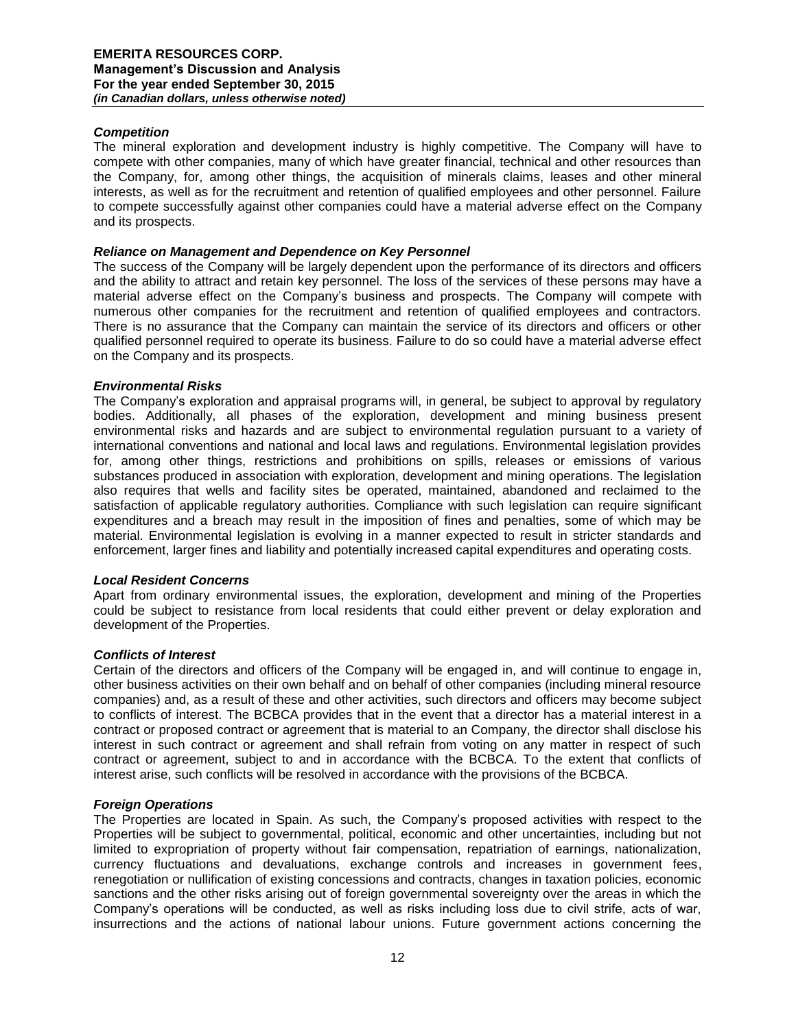# *Competition*

The mineral exploration and development industry is highly competitive. The Company will have to compete with other companies, many of which have greater financial, technical and other resources than the Company, for, among other things, the acquisition of minerals claims, leases and other mineral interests, as well as for the recruitment and retention of qualified employees and other personnel. Failure to compete successfully against other companies could have a material adverse effect on the Company and its prospects.

## *Reliance on Management and Dependence on Key Personnel*

The success of the Company will be largely dependent upon the performance of its directors and officers and the ability to attract and retain key personnel. The loss of the services of these persons may have a material adverse effect on the Company's business and prospects. The Company will compete with numerous other companies for the recruitment and retention of qualified employees and contractors. There is no assurance that the Company can maintain the service of its directors and officers or other qualified personnel required to operate its business. Failure to do so could have a material adverse effect on the Company and its prospects.

## *Environmental Risks*

The Company's exploration and appraisal programs will, in general, be subject to approval by regulatory bodies. Additionally, all phases of the exploration, development and mining business present environmental risks and hazards and are subject to environmental regulation pursuant to a variety of international conventions and national and local laws and regulations. Environmental legislation provides for, among other things, restrictions and prohibitions on spills, releases or emissions of various substances produced in association with exploration, development and mining operations. The legislation also requires that wells and facility sites be operated, maintained, abandoned and reclaimed to the satisfaction of applicable regulatory authorities. Compliance with such legislation can require significant expenditures and a breach may result in the imposition of fines and penalties, some of which may be material. Environmental legislation is evolving in a manner expected to result in stricter standards and enforcement, larger fines and liability and potentially increased capital expenditures and operating costs.

#### *Local Resident Concerns*

Apart from ordinary environmental issues, the exploration, development and mining of the Properties could be subject to resistance from local residents that could either prevent or delay exploration and development of the Properties.

#### *Conflicts of Interest*

Certain of the directors and officers of the Company will be engaged in, and will continue to engage in, other business activities on their own behalf and on behalf of other companies (including mineral resource companies) and, as a result of these and other activities, such directors and officers may become subject to conflicts of interest. The BCBCA provides that in the event that a director has a material interest in a contract or proposed contract or agreement that is material to an Company, the director shall disclose his interest in such contract or agreement and shall refrain from voting on any matter in respect of such contract or agreement, subject to and in accordance with the BCBCA. To the extent that conflicts of interest arise, such conflicts will be resolved in accordance with the provisions of the BCBCA.

# *Foreign Operations*

The Properties are located in Spain. As such, the Company's proposed activities with respect to the Properties will be subject to governmental, political, economic and other uncertainties, including but not limited to expropriation of property without fair compensation, repatriation of earnings, nationalization, currency fluctuations and devaluations, exchange controls and increases in government fees, renegotiation or nullification of existing concessions and contracts, changes in taxation policies, economic sanctions and the other risks arising out of foreign governmental sovereignty over the areas in which the Company's operations will be conducted, as well as risks including loss due to civil strife, acts of war, insurrections and the actions of national labour unions. Future government actions concerning the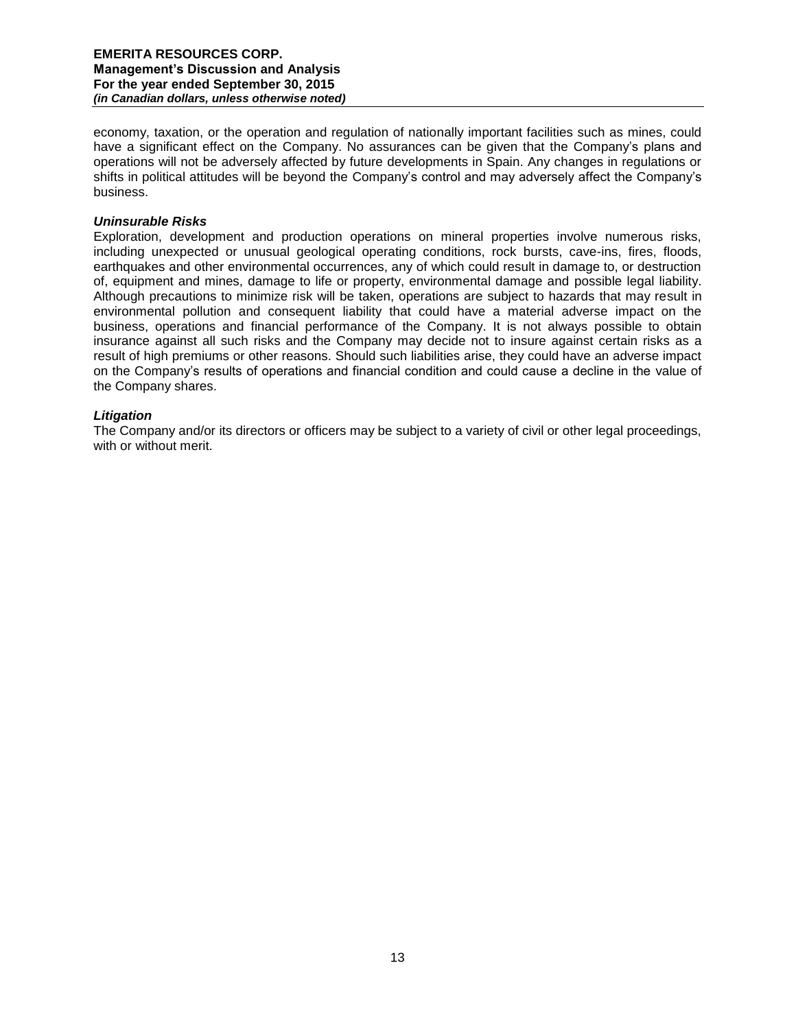economy, taxation, or the operation and regulation of nationally important facilities such as mines, could have a significant effect on the Company. No assurances can be given that the Company's plans and operations will not be adversely affected by future developments in Spain. Any changes in regulations or shifts in political attitudes will be beyond the Company's control and may adversely affect the Company's business.

## *Uninsurable Risks*

Exploration, development and production operations on mineral properties involve numerous risks, including unexpected or unusual geological operating conditions, rock bursts, cave-ins, fires, floods, earthquakes and other environmental occurrences, any of which could result in damage to, or destruction of, equipment and mines, damage to life or property, environmental damage and possible legal liability. Although precautions to minimize risk will be taken, operations are subject to hazards that may result in environmental pollution and consequent liability that could have a material adverse impact on the business, operations and financial performance of the Company. It is not always possible to obtain insurance against all such risks and the Company may decide not to insure against certain risks as a result of high premiums or other reasons. Should such liabilities arise, they could have an adverse impact on the Company's results of operations and financial condition and could cause a decline in the value of the Company shares.

## *Litigation*

The Company and/or its directors or officers may be subject to a variety of civil or other legal proceedings, with or without merit.